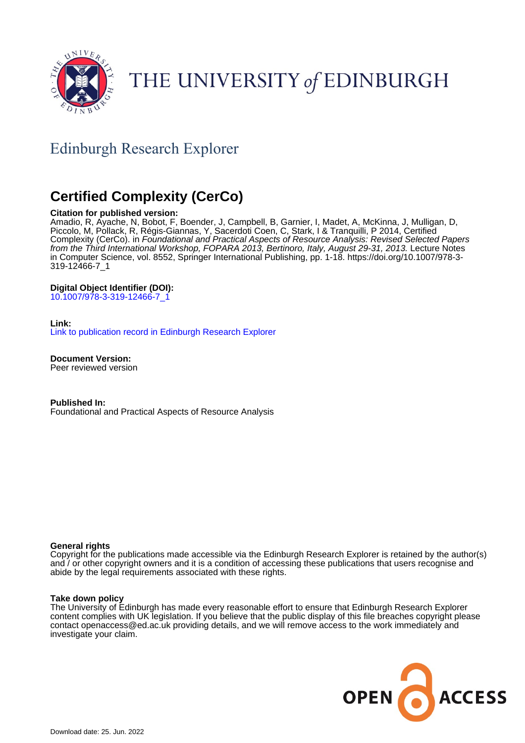

# THE UNIVERSITY of EDINBURGH

# Edinburgh Research Explorer

# **Certified Complexity (CerCo)**

# **Citation for published version:**

Amadio, R, Ayache, N, Bobot, F, Boender, J, Campbell, B, Garnier, I, Madet, A, McKinna, J, Mulligan, D, Piccolo, M, Pollack, R, Régis-Giannas, Y, Sacerdoti Coen, C, Stark, I & Tranquilli, P 2014, Certified Complexity (CerCo). in Foundational and Practical Aspects of Resource Analysis: Revised Selected Papers from the Third International Workshop, FOPARA 2013, Bertinoro, Italy, August 29-31, 2013. Lecture Notes in Computer Science, vol. 8552, Springer International Publishing, pp. 1-18. [https://doi.org/10.1007/978-3-](https://doi.org/10.1007/978-3-319-12466-7_1) [319-12466-7\\_1](https://doi.org/10.1007/978-3-319-12466-7_1)

# **Digital Object Identifier (DOI):**

[10.1007/978-3-319-12466-7\\_1](https://doi.org/10.1007/978-3-319-12466-7_1)

# **Link:**

[Link to publication record in Edinburgh Research Explorer](https://www.research.ed.ac.uk/en/publications/83417580-f556-481d-a81d-e0a1df149849)

**Document Version:** Peer reviewed version

**Published In:** Foundational and Practical Aspects of Resource Analysis

# **General rights**

Copyright for the publications made accessible via the Edinburgh Research Explorer is retained by the author(s) and / or other copyright owners and it is a condition of accessing these publications that users recognise and abide by the legal requirements associated with these rights.

#### **Take down policy**

The University of Edinburgh has made every reasonable effort to ensure that Edinburgh Research Explorer content complies with UK legislation. If you believe that the public display of this file breaches copyright please contact openaccess@ed.ac.uk providing details, and we will remove access to the work immediately and investigate your claim.

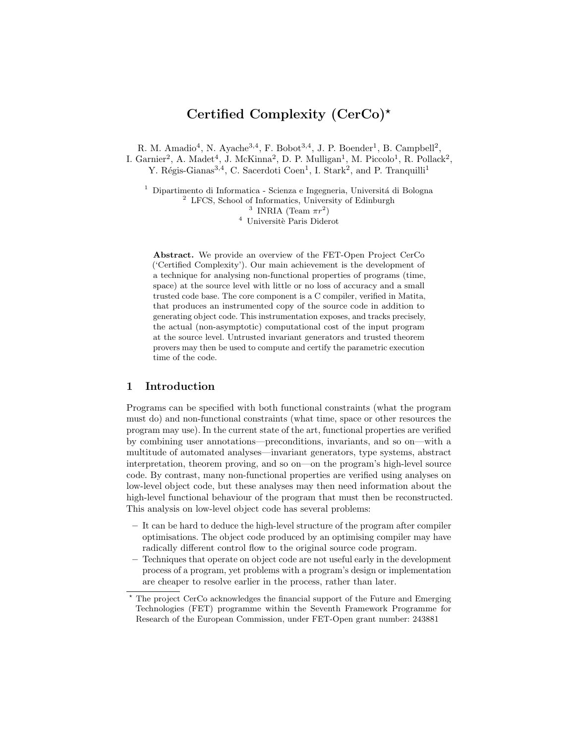# Certified Complexity (CerCo)?

R. M. Amadio<sup>4</sup>, N. Ayache<sup>3,4</sup>, F. Bobot<sup>3,4</sup>, J. P. Boender<sup>1</sup>, B. Campbell<sup>2</sup>, I. Garnier<sup>2</sup>, A. Madet<sup>4</sup>, J. McKinna<sup>2</sup>, D. P. Mulligan<sup>1</sup>, M. Piccolo<sup>1</sup>, R. Pollack<sup>2</sup>, Y. Régis-Gianas<sup>3,4</sup>, C. Sacerdoti Coen<sup>1</sup>, I. Stark<sup>2</sup>, and P. Tranquilli<sup>1</sup>

<sup>1</sup> Dipartimento di Informatica - Scienza e Ingegneria, Universitá di Bologna  $2$  LFCS, School of Informatics, University of Edinburgh <sup>3</sup> INRIA (Team  $\pi r^2$ )

 $^4\,$ Universitè Paris Diderot

Abstract. We provide an overview of the FET-Open Project CerCo ('Certified Complexity'). Our main achievement is the development of a technique for analysing non-functional properties of programs (time, space) at the source level with little or no loss of accuracy and a small trusted code base. The core component is a C compiler, verified in Matita, that produces an instrumented copy of the source code in addition to generating object code. This instrumentation exposes, and tracks precisely, the actual (non-asymptotic) computational cost of the input program at the source level. Untrusted invariant generators and trusted theorem provers may then be used to compute and certify the parametric execution time of the code.

# 1 Introduction

Programs can be specified with both functional constraints (what the program must do) and non-functional constraints (what time, space or other resources the program may use). In the current state of the art, functional properties are verified by combining user annotations—preconditions, invariants, and so on—with a multitude of automated analyses—invariant generators, type systems, abstract interpretation, theorem proving, and so on—on the program's high-level source code. By contrast, many non-functional properties are verified using analyses on low-level object code, but these analyses may then need information about the high-level functional behaviour of the program that must then be reconstructed. This analysis on low-level object code has several problems:

- It can be hard to deduce the high-level structure of the program after compiler optimisations. The object code produced by an optimising compiler may have radically different control flow to the original source code program.
- Techniques that operate on object code are not useful early in the development process of a program, yet problems with a program's design or implementation are cheaper to resolve earlier in the process, rather than later.

<sup>?</sup> The project CerCo acknowledges the financial support of the Future and Emerging Technologies (FET) programme within the Seventh Framework Programme for Research of the European Commission, under FET-Open grant number: 243881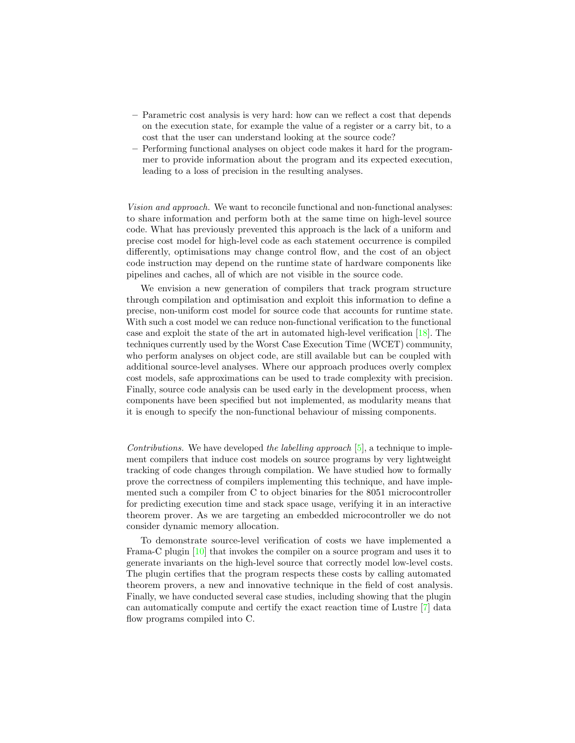- Parametric cost analysis is very hard: how can we reflect a cost that depends on the execution state, for example the value of a register or a carry bit, to a cost that the user can understand looking at the source code?
- Performing functional analyses on object code makes it hard for the programmer to provide information about the program and its expected execution, leading to a loss of precision in the resulting analyses.

Vision and approach. We want to reconcile functional and non-functional analyses: to share information and perform both at the same time on high-level source code. What has previously prevented this approach is the lack of a uniform and precise cost model for high-level code as each statement occurrence is compiled differently, optimisations may change control flow, and the cost of an object code instruction may depend on the runtime state of hardware components like pipelines and caches, all of which are not visible in the source code.

We envision a new generation of compilers that track program structure through compilation and optimisation and exploit this information to define a precise, non-uniform cost model for source code that accounts for runtime state. With such a cost model we can reduce non-functional verification to the functional case and exploit the state of the art in automated high-level verification [\[18\]](#page-17-0). The techniques currently used by the Worst Case Execution Time (WCET) community, who perform analyses on object code, are still available but can be coupled with additional source-level analyses. Where our approach produces overly complex cost models, safe approximations can be used to trade complexity with precision. Finally, source code analysis can be used early in the development process, when components have been specified but not implemented, as modularity means that it is enough to specify the non-functional behaviour of missing components.

Contributions. We have developed the labelling approach  $[5]$ , a technique to implement compilers that induce cost models on source programs by very lightweight tracking of code changes through compilation. We have studied how to formally prove the correctness of compilers implementing this technique, and have implemented such a compiler from C to object binaries for the 8051 microcontroller for predicting execution time and stack space usage, verifying it in an interactive theorem prover. As we are targeting an embedded microcontroller we do not consider dynamic memory allocation.

To demonstrate source-level verification of costs we have implemented a Frama-C plugin [\[10\]](#page-17-2) that invokes the compiler on a source program and uses it to generate invariants on the high-level source that correctly model low-level costs. The plugin certifies that the program respects these costs by calling automated theorem provers, a new and innovative technique in the field of cost analysis. Finally, we have conducted several case studies, including showing that the plugin can automatically compute and certify the exact reaction time of Lustre [\[7\]](#page-17-3) data flow programs compiled into C.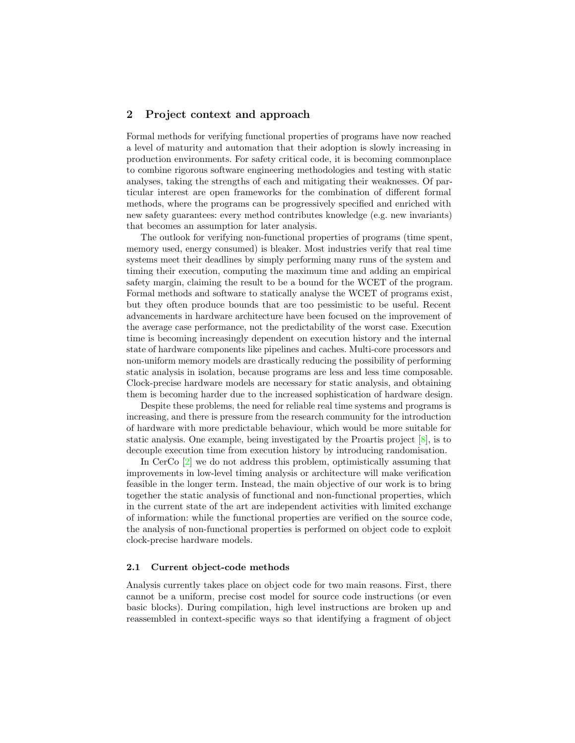### 2 Project context and approach

Formal methods for verifying functional properties of programs have now reached a level of maturity and automation that their adoption is slowly increasing in production environments. For safety critical code, it is becoming commonplace to combine rigorous software engineering methodologies and testing with static analyses, taking the strengths of each and mitigating their weaknesses. Of particular interest are open frameworks for the combination of different formal methods, where the programs can be progressively specified and enriched with new safety guarantees: every method contributes knowledge (e.g. new invariants) that becomes an assumption for later analysis.

The outlook for verifying non-functional properties of programs (time spent, memory used, energy consumed) is bleaker. Most industries verify that real time systems meet their deadlines by simply performing many runs of the system and timing their execution, computing the maximum time and adding an empirical safety margin, claiming the result to be a bound for the WCET of the program. Formal methods and software to statically analyse the WCET of programs exist, but they often produce bounds that are too pessimistic to be useful. Recent advancements in hardware architecture have been focused on the improvement of the average case performance, not the predictability of the worst case. Execution time is becoming increasingly dependent on execution history and the internal state of hardware components like pipelines and caches. Multi-core processors and non-uniform memory models are drastically reducing the possibility of performing static analysis in isolation, because programs are less and less time composable. Clock-precise hardware models are necessary for static analysis, and obtaining them is becoming harder due to the increased sophistication of hardware design.

Despite these problems, the need for reliable real time systems and programs is increasing, and there is pressure from the research community for the introduction of hardware with more predictable behaviour, which would be more suitable for static analysis. One example, being investigated by the Proartis project [\[8\]](#page-17-4), is to decouple execution time from execution history by introducing randomisation.

In CerCo [\[2\]](#page-17-5) we do not address this problem, optimistically assuming that improvements in low-level timing analysis or architecture will make verification feasible in the longer term. Instead, the main objective of our work is to bring together the static analysis of functional and non-functional properties, which in the current state of the art are independent activities with limited exchange of information: while the functional properties are verified on the source code, the analysis of non-functional properties is performed on object code to exploit clock-precise hardware models.

#### 2.1 Current object-code methods

Analysis currently takes place on object code for two main reasons. First, there cannot be a uniform, precise cost model for source code instructions (or even basic blocks). During compilation, high level instructions are broken up and reassembled in context-specific ways so that identifying a fragment of object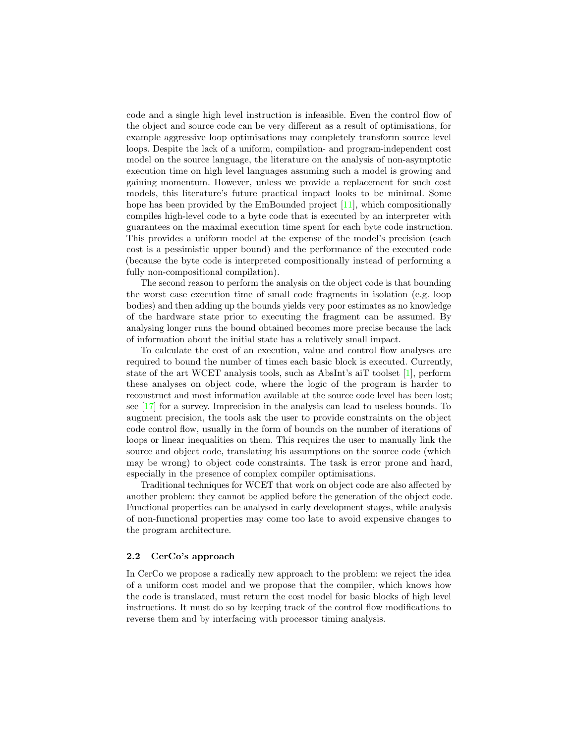code and a single high level instruction is infeasible. Even the control flow of the object and source code can be very different as a result of optimisations, for example aggressive loop optimisations may completely transform source level loops. Despite the lack of a uniform, compilation- and program-independent cost model on the source language, the literature on the analysis of non-asymptotic execution time on high level languages assuming such a model is growing and gaining momentum. However, unless we provide a replacement for such cost models, this literature's future practical impact looks to be minimal. Some hope has been provided by the EmBounded project [\[11\]](#page-17-6), which compositionally compiles high-level code to a byte code that is executed by an interpreter with guarantees on the maximal execution time spent for each byte code instruction. This provides a uniform model at the expense of the model's precision (each cost is a pessimistic upper bound) and the performance of the executed code (because the byte code is interpreted compositionally instead of performing a fully non-compositional compilation).

The second reason to perform the analysis on the object code is that bounding the worst case execution time of small code fragments in isolation (e.g. loop bodies) and then adding up the bounds yields very poor estimates as no knowledge of the hardware state prior to executing the fragment can be assumed. By analysing longer runs the bound obtained becomes more precise because the lack of information about the initial state has a relatively small impact.

To calculate the cost of an execution, value and control flow analyses are required to bound the number of times each basic block is executed. Currently, state of the art WCET analysis tools, such as AbsInt's aiT toolset [\[1\]](#page-17-7), perform these analyses on object code, where the logic of the program is harder to reconstruct and most information available at the source code level has been lost; see [\[17\]](#page-17-8) for a survey. Imprecision in the analysis can lead to useless bounds. To augment precision, the tools ask the user to provide constraints on the object code control flow, usually in the form of bounds on the number of iterations of loops or linear inequalities on them. This requires the user to manually link the source and object code, translating his assumptions on the source code (which may be wrong) to object code constraints. The task is error prone and hard, especially in the presence of complex compiler optimisations.

Traditional techniques for WCET that work on object code are also affected by another problem: they cannot be applied before the generation of the object code. Functional properties can be analysed in early development stages, while analysis of non-functional properties may come too late to avoid expensive changes to the program architecture.

#### 2.2 CerCo's approach

In CerCo we propose a radically new approach to the problem: we reject the idea of a uniform cost model and we propose that the compiler, which knows how the code is translated, must return the cost model for basic blocks of high level instructions. It must do so by keeping track of the control flow modifications to reverse them and by interfacing with processor timing analysis.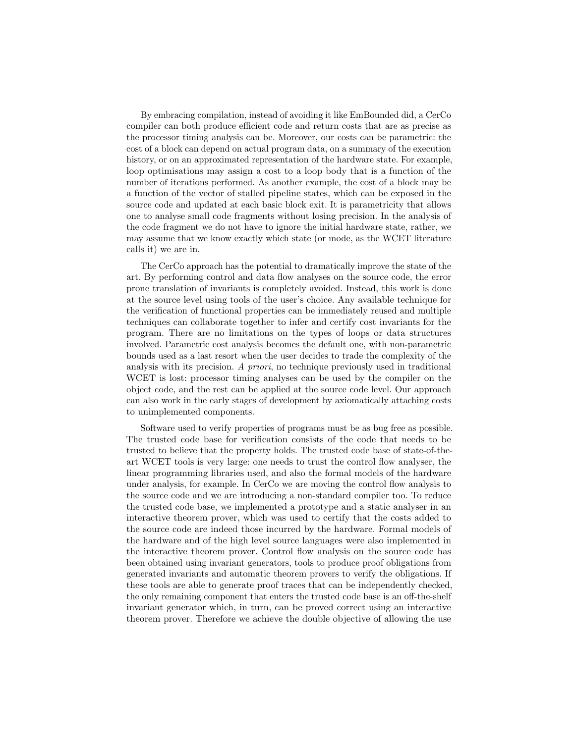By embracing compilation, instead of avoiding it like EmBounded did, a CerCo compiler can both produce efficient code and return costs that are as precise as the processor timing analysis can be. Moreover, our costs can be parametric: the cost of a block can depend on actual program data, on a summary of the execution history, or on an approximated representation of the hardware state. For example, loop optimisations may assign a cost to a loop body that is a function of the number of iterations performed. As another example, the cost of a block may be a function of the vector of stalled pipeline states, which can be exposed in the source code and updated at each basic block exit. It is parametricity that allows one to analyse small code fragments without losing precision. In the analysis of the code fragment we do not have to ignore the initial hardware state, rather, we may assume that we know exactly which state (or mode, as the WCET literature calls it) we are in.

The CerCo approach has the potential to dramatically improve the state of the art. By performing control and data flow analyses on the source code, the error prone translation of invariants is completely avoided. Instead, this work is done at the source level using tools of the user's choice. Any available technique for the verification of functional properties can be immediately reused and multiple techniques can collaborate together to infer and certify cost invariants for the program. There are no limitations on the types of loops or data structures involved. Parametric cost analysis becomes the default one, with non-parametric bounds used as a last resort when the user decides to trade the complexity of the analysis with its precision. A priori, no technique previously used in traditional WCET is lost: processor timing analyses can be used by the compiler on the object code, and the rest can be applied at the source code level. Our approach can also work in the early stages of development by axiomatically attaching costs to unimplemented components.

Software used to verify properties of programs must be as bug free as possible. The trusted code base for verification consists of the code that needs to be trusted to believe that the property holds. The trusted code base of state-of-theart WCET tools is very large: one needs to trust the control flow analyser, the linear programming libraries used, and also the formal models of the hardware under analysis, for example. In CerCo we are moving the control flow analysis to the source code and we are introducing a non-standard compiler too. To reduce the trusted code base, we implemented a prototype and a static analyser in an interactive theorem prover, which was used to certify that the costs added to the source code are indeed those incurred by the hardware. Formal models of the hardware and of the high level source languages were also implemented in the interactive theorem prover. Control flow analysis on the source code has been obtained using invariant generators, tools to produce proof obligations from generated invariants and automatic theorem provers to verify the obligations. If these tools are able to generate proof traces that can be independently checked, the only remaining component that enters the trusted code base is an off-the-shelf invariant generator which, in turn, can be proved correct using an interactive theorem prover. Therefore we achieve the double objective of allowing the use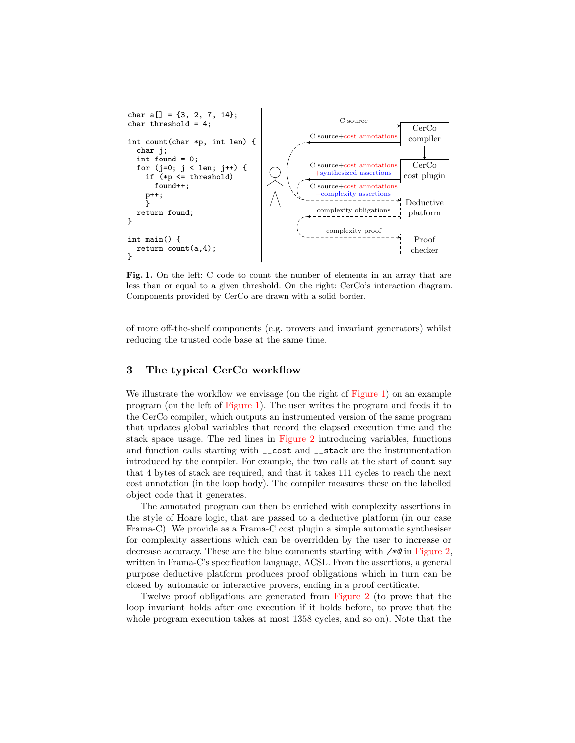

<span id="page-6-0"></span>Fig. 1. On the left: C code to count the number of elements in an array that are less than or equal to a given threshold. On the right: CerCo's interaction diagram. Components provided by CerCo are drawn with a solid border.

of more off-the-shelf components (e.g. provers and invariant generators) whilst reducing the trusted code base at the same time.

# <span id="page-6-1"></span>3 The typical CerCo workflow

We illustrate the workflow we envisage (on the right of [Figure 1\)](#page-6-0) on an example program (on the left of [Figure 1\)](#page-6-0). The user writes the program and feeds it to the CerCo compiler, which outputs an instrumented version of the same program that updates global variables that record the elapsed execution time and the stack space usage. The red lines in [Figure 2](#page-8-0) introducing variables, functions and function calls starting with \_\_cost and \_\_stack are the instrumentation introduced by the compiler. For example, the two calls at the start of count say that 4 bytes of stack are required, and that it takes 111 cycles to reach the next cost annotation (in the loop body). The compiler measures these on the labelled object code that it generates.

The annotated program can then be enriched with complexity assertions in the style of Hoare logic, that are passed to a deductive platform (in our case Frama-C). We provide as a Frama-C cost plugin a simple automatic synthesiser for complexity assertions which can be overridden by the user to increase or decrease accuracy. These are the blue comments starting with /\*@ in [Figure 2,](#page-8-0) written in Frama-C's specification language, ACSL. From the assertions, a general purpose deductive platform produces proof obligations which in turn can be closed by automatic or interactive provers, ending in a proof certificate.

Twelve proof obligations are generated from [Figure 2](#page-8-0) (to prove that the loop invariant holds after one execution if it holds before, to prove that the whole program execution takes at most 1358 cycles, and so on). Note that the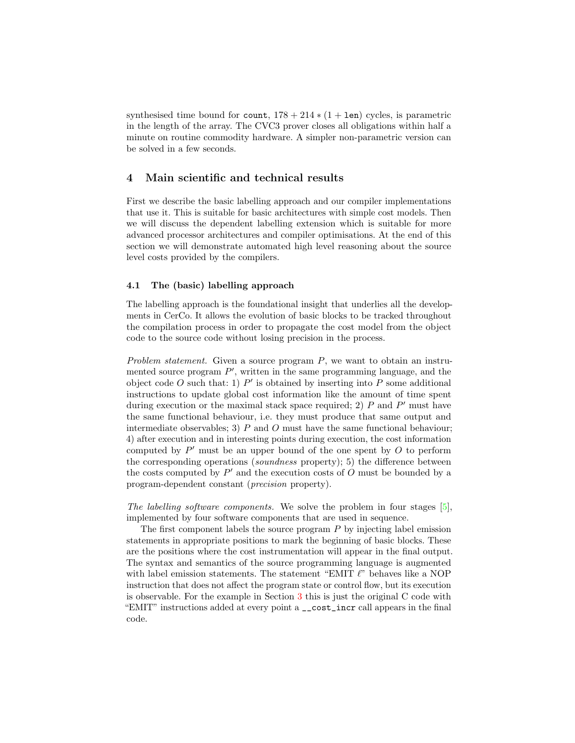synthesised time bound for count,  $178 + 214 * (1 + 1$ en) cycles, is parametric in the length of the array. The CVC3 prover closes all obligations within half a minute on routine commodity hardware. A simpler non-parametric version can be solved in a few seconds.

# 4 Main scientific and technical results

First we describe the basic labelling approach and our compiler implementations that use it. This is suitable for basic architectures with simple cost models. Then we will discuss the dependent labelling extension which is suitable for more advanced processor architectures and compiler optimisations. At the end of this section we will demonstrate automated high level reasoning about the source level costs provided by the compilers.

#### 4.1 The (basic) labelling approach

The labelling approach is the foundational insight that underlies all the developments in CerCo. It allows the evolution of basic blocks to be tracked throughout the compilation process in order to propagate the cost model from the object code to the source code without losing precision in the process.

Problem statement. Given a source program P, we want to obtain an instrumented source program  $P'$ , written in the same programming language, and the object code O such that: 1)  $P'$  is obtained by inserting into P some additional instructions to update global cost information like the amount of time spent during execution or the maximal stack space required; 2)  $P$  and  $P'$  must have the same functional behaviour, i.e. they must produce that same output and intermediate observables; 3)  $P$  and  $O$  must have the same functional behaviour; 4) after execution and in interesting points during execution, the cost information computed by  $P'$  must be an upper bound of the one spent by  $O$  to perform the corresponding operations (soundness property); 5) the difference between the costs computed by  $P'$  and the execution costs of  $O$  must be bounded by a program-dependent constant (precision property).

The labelling software components. We solve the problem in four stages [\[5\]](#page-17-1), implemented by four software components that are used in sequence.

The first component labels the source program  $P$  by injecting label emission statements in appropriate positions to mark the beginning of basic blocks. These are the positions where the cost instrumentation will appear in the final output. The syntax and semantics of the source programming language is augmented with label emission statements. The statement "EMIT  $\ell$ " behaves like a NOP instruction that does not affect the program state or control flow, but its execution is observable. For the example in Section [3](#page-6-1) this is just the original C code with "EMIT" instructions added at every point a \_\_cost\_incr call appears in the final code.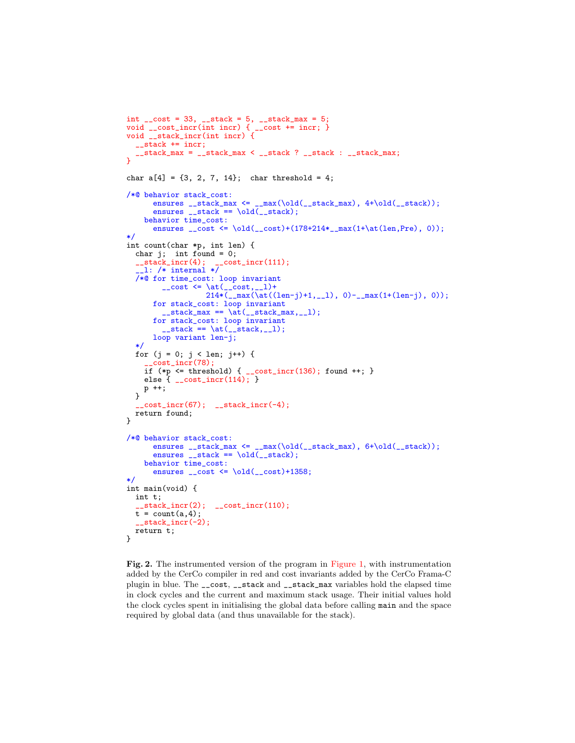```
int \lfloor \cdot \rfloor cost = 33, \lfloor \cdot \rfloor stack = 5, \lfloor \cdot \rfloor stack \lfloor \cdot \rfloor max = 5;
void __cost_incr(int incr) { __cost += incr; }
void __stack_incr(int incr) {
   __stack += incr;
   __stack_max = __stack_max < __stack ? __stack : __stack_max;
\mathbf{r}char a[4] = \{3, 2, 7, 14\}; char threshold = 4;
/*@ behavior stack_cost:
        ensures __stack_max <= __max(\old(__stack_max), 4+\old(__stack));
        ensures \text{_} == \odotld(\text{_}stack);
     behavior time_cost:
        ensures __cost <= \old(__cost)+(178+214*__max(1+\at(len,Pre), 0));
*/
int count(char *p, int len) {
  char j; int found = 0;
   __stack_incr(4); __cost_incr(111);
   \_1: /* internal */
   /*@ for time_cost: loop invariant
            \angle_cost <= \atop \cdots \atop = \atop \cdots \atop = \cdots214*(__max(\at((len-j)+1,__l), 0)-__max(1+(len-j), 0));
        for stack_cost: loop invariant
            {\tt _\_stack\_max} == \a{t}({\tt _\_stack\_max}, {\tt _\_l});
        for stack_cost: loop invariant
           _{{-}}stack == \at(_{{-}}stack,_{{-}}1);
        loop variant len-j;
  */
  for (j = 0; j < len; j++) {
        __cost_incr(78);
     if (*p \leq threshold) { \_cost\_incr(136); found ++; }
     else { _{\texttt{-cost\_incr}(114)}; }
     p ++;
  }
     cost\_incr(67);  _{\text{ }_\text{ }_\text{ }^\text{}}_\text{}_\text{} _{\text{ }^\text{}}_\text{} _{\text{ }^\text{}}_\text{} _{\text{}}^\text{}}_\text{} _{\text{}}^\text{}}_\text{} _{\text{}}^\text{}}_\text{} _{\text{}}^\text{}}_\text{} _{\text{}}^\text{}}_\text{} _{\text{}}^\text{}}_\text{} _{\text{}}^\text{}}_\text{} _{\text{}}^\text{}}_\text{} _{\text{}}^\text{}}_\text{}} _{\text{}}^\return found;
}
/*@ behavior stack_cost:
         ensures __stack_max <= __max(\old(__stack_max), 6+\old(__stack));
         ensures _stack = \old( _stack);
     behavior time_cost:
        ensures \text{\_cost} \leq \old(\text{\_cost})+1358;*/
int main(void) {
  int t;<br>
_ -stack_incr(2);
                           \_cost\_incr(110);t = count(a, 4);__stack_incr(-2);
  return t;
}
```
<span id="page-8-0"></span>Fig. 2. The instrumented version of the program in [Figure 1,](#page-6-0) with instrumentation added by the CerCo compiler in red and cost invariants added by the CerCo Frama-C plugin in blue. The \_\_cost, \_\_stack and \_\_stack\_max variables hold the elapsed time in clock cycles and the current and maximum stack usage. Their initial values hold the clock cycles spent in initialising the global data before calling main and the space required by global data (and thus unavailable for the stack).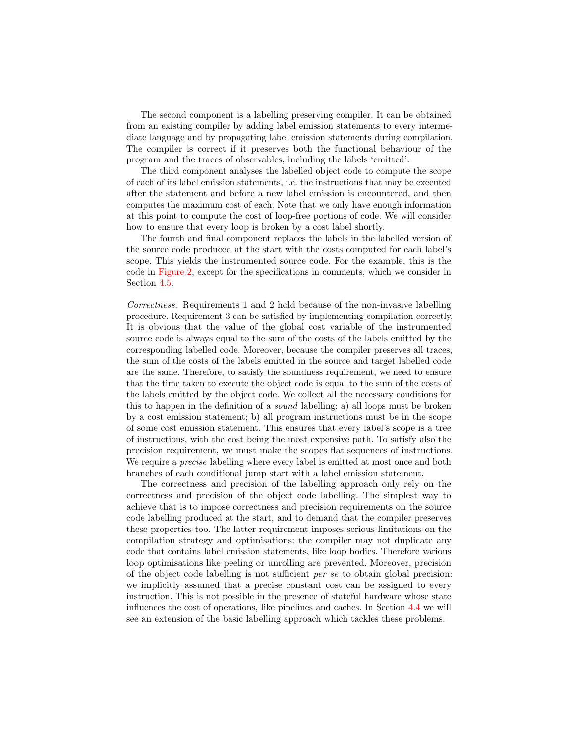The second component is a labelling preserving compiler. It can be obtained from an existing compiler by adding label emission statements to every intermediate language and by propagating label emission statements during compilation. The compiler is correct if it preserves both the functional behaviour of the program and the traces of observables, including the labels 'emitted'.

The third component analyses the labelled object code to compute the scope of each of its label emission statements, i.e. the instructions that may be executed after the statement and before a new label emission is encountered, and then computes the maximum cost of each. Note that we only have enough information at this point to compute the cost of loop-free portions of code. We will consider how to ensure that every loop is broken by a cost label shortly.

The fourth and final component replaces the labels in the labelled version of the source code produced at the start with the costs computed for each label's scope. This yields the instrumented source code. For the example, this is the code in [Figure 2,](#page-8-0) except for the specifications in comments, which we consider in Section [4.5.](#page-14-0)

Correctness. Requirements 1 and 2 hold because of the non-invasive labelling procedure. Requirement 3 can be satisfied by implementing compilation correctly. It is obvious that the value of the global cost variable of the instrumented source code is always equal to the sum of the costs of the labels emitted by the corresponding labelled code. Moreover, because the compiler preserves all traces, the sum of the costs of the labels emitted in the source and target labelled code are the same. Therefore, to satisfy the soundness requirement, we need to ensure that the time taken to execute the object code is equal to the sum of the costs of the labels emitted by the object code. We collect all the necessary conditions for this to happen in the definition of a sound labelling: a) all loops must be broken by a cost emission statement; b) all program instructions must be in the scope of some cost emission statement. This ensures that every label's scope is a tree of instructions, with the cost being the most expensive path. To satisfy also the precision requirement, we must make the scopes flat sequences of instructions. We require a *precise* labelling where every label is emitted at most once and both branches of each conditional jump start with a label emission statement.

The correctness and precision of the labelling approach only rely on the correctness and precision of the object code labelling. The simplest way to achieve that is to impose correctness and precision requirements on the source code labelling produced at the start, and to demand that the compiler preserves these properties too. The latter requirement imposes serious limitations on the compilation strategy and optimisations: the compiler may not duplicate any code that contains label emission statements, like loop bodies. Therefore various loop optimisations like peeling or unrolling are prevented. Moreover, precision of the object code labelling is not sufficient per se to obtain global precision: we implicitly assumed that a precise constant cost can be assigned to every instruction. This is not possible in the presence of stateful hardware whose state influences the cost of operations, like pipelines and caches. In Section [4.4](#page-12-0) we will see an extension of the basic labelling approach which tackles these problems.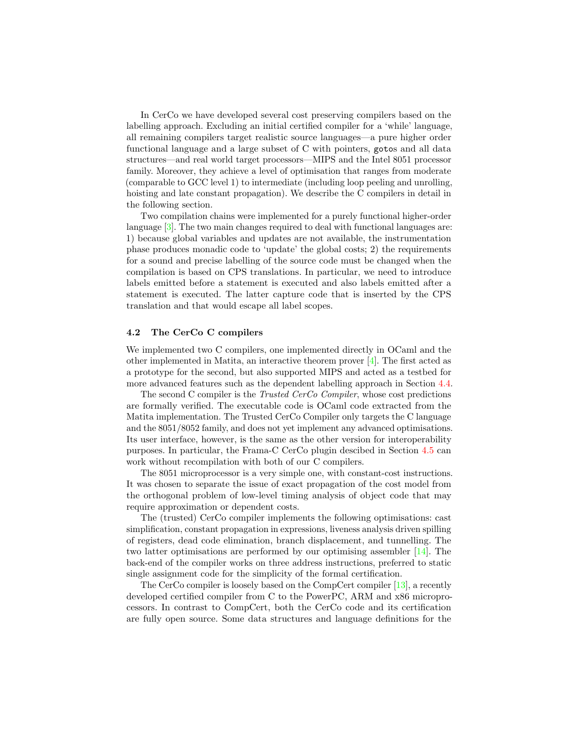In CerCo we have developed several cost preserving compilers based on the labelling approach. Excluding an initial certified compiler for a 'while' language, all remaining compilers target realistic source languages—a pure higher order functional language and a large subset of C with pointers, gotos and all data structures—and real world target processors—MIPS and the Intel 8051 processor family. Moreover, they achieve a level of optimisation that ranges from moderate (comparable to GCC level 1) to intermediate (including loop peeling and unrolling, hoisting and late constant propagation). We describe the C compilers in detail in the following section.

Two compilation chains were implemented for a purely functional higher-order language [\[3\]](#page-17-9). The two main changes required to deal with functional languages are: 1) because global variables and updates are not available, the instrumentation phase produces monadic code to 'update' the global costs; 2) the requirements for a sound and precise labelling of the source code must be changed when the compilation is based on CPS translations. In particular, we need to introduce labels emitted before a statement is executed and also labels emitted after a statement is executed. The latter capture code that is inserted by the CPS translation and that would escape all label scopes.

#### 4.2 The CerCo C compilers

We implemented two C compilers, one implemented directly in OCaml and the other implemented in Matita, an interactive theorem prover [\[4\]](#page-17-10). The first acted as a prototype for the second, but also supported MIPS and acted as a testbed for more advanced features such as the dependent labelling approach in Section [4.4.](#page-12-0)

The second C compiler is the *Trusted CerCo Compiler*, whose cost predictions are formally verified. The executable code is OCaml code extracted from the Matita implementation. The Trusted CerCo Compiler only targets the C language and the 8051/8052 family, and does not yet implement any advanced optimisations. Its user interface, however, is the same as the other version for interoperability purposes. In particular, the Frama-C CerCo plugin descibed in Section [4.5](#page-14-0) can work without recompilation with both of our C compilers.

The 8051 microprocessor is a very simple one, with constant-cost instructions. It was chosen to separate the issue of exact propagation of the cost model from the orthogonal problem of low-level timing analysis of object code that may require approximation or dependent costs.

The (trusted) CerCo compiler implements the following optimisations: cast simplification, constant propagation in expressions, liveness analysis driven spilling of registers, dead code elimination, branch displacement, and tunnelling. The two latter optimisations are performed by our optimising assembler [\[14\]](#page-17-11). The back-end of the compiler works on three address instructions, preferred to static single assignment code for the simplicity of the formal certification.

The CerCo compiler is loosely based on the CompCert compiler [\[13\]](#page-17-12), a recently developed certified compiler from C to the PowerPC, ARM and x86 microprocessors. In contrast to CompCert, both the CerCo code and its certification are fully open source. Some data structures and language definitions for the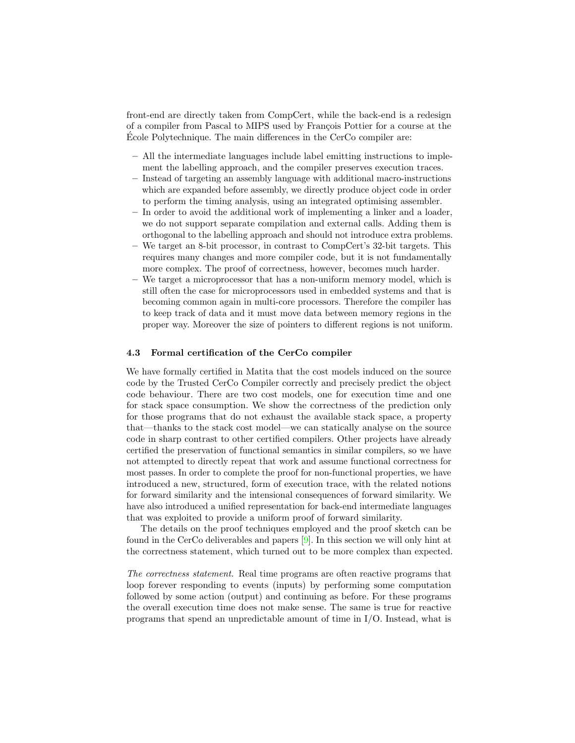front-end are directly taken from CompCert, while the back-end is a redesign of a compiler from Pascal to MIPS used by François Pottier for a course at the Ecole Polytechnique. The main differences in the CerCo compiler are: ´

- All the intermediate languages include label emitting instructions to implement the labelling approach, and the compiler preserves execution traces.
- Instead of targeting an assembly language with additional macro-instructions which are expanded before assembly, we directly produce object code in order to perform the timing analysis, using an integrated optimising assembler.
- In order to avoid the additional work of implementing a linker and a loader, we do not support separate compilation and external calls. Adding them is orthogonal to the labelling approach and should not introduce extra problems.
- We target an 8-bit processor, in contrast to CompCert's 32-bit targets. This requires many changes and more compiler code, but it is not fundamentally more complex. The proof of correctness, however, becomes much harder.
- We target a microprocessor that has a non-uniform memory model, which is still often the case for microprocessors used in embedded systems and that is becoming common again in multi-core processors. Therefore the compiler has to keep track of data and it must move data between memory regions in the proper way. Moreover the size of pointers to different regions is not uniform.

#### 4.3 Formal certification of the CerCo compiler

We have formally certified in Matita that the cost models induced on the source code by the Trusted CerCo Compiler correctly and precisely predict the object code behaviour. There are two cost models, one for execution time and one for stack space consumption. We show the correctness of the prediction only for those programs that do not exhaust the available stack space, a property that—thanks to the stack cost model—we can statically analyse on the source code in sharp contrast to other certified compilers. Other projects have already certified the preservation of functional semantics in similar compilers, so we have not attempted to directly repeat that work and assume functional correctness for most passes. In order to complete the proof for non-functional properties, we have introduced a new, structured, form of execution trace, with the related notions for forward similarity and the intensional consequences of forward similarity. We have also introduced a unified representation for back-end intermediate languages that was exploited to provide a uniform proof of forward similarity.

The details on the proof techniques employed and the proof sketch can be found in the CerCo deliverables and papers [\[9\]](#page-17-13). In this section we will only hint at the correctness statement, which turned out to be more complex than expected.

The correctness statement. Real time programs are often reactive programs that loop forever responding to events (inputs) by performing some computation followed by some action (output) and continuing as before. For these programs the overall execution time does not make sense. The same is true for reactive programs that spend an unpredictable amount of time in I/O. Instead, what is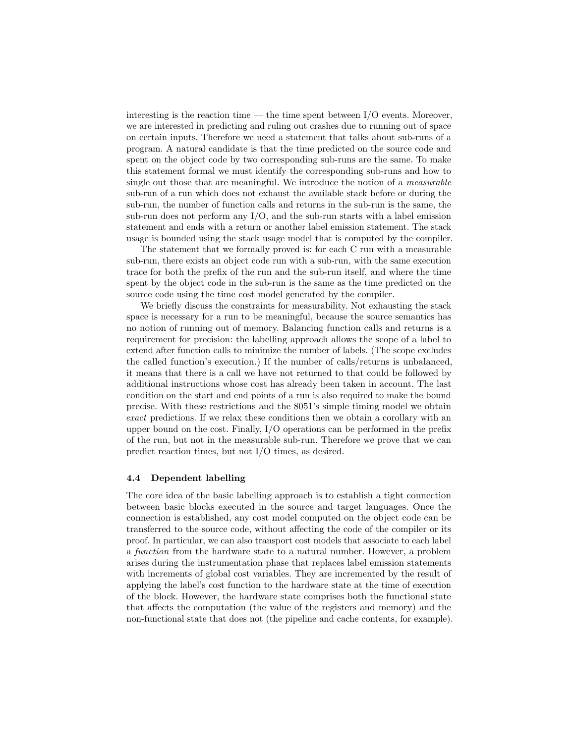interesting is the reaction time — the time spent between I/O events. Moreover, we are interested in predicting and ruling out crashes due to running out of space on certain inputs. Therefore we need a statement that talks about sub-runs of a program. A natural candidate is that the time predicted on the source code and spent on the object code by two corresponding sub-runs are the same. To make this statement formal we must identify the corresponding sub-runs and how to single out those that are meaningful. We introduce the notion of a measurable sub-run of a run which does not exhaust the available stack before or during the sub-run, the number of function calls and returns in the sub-run is the same, the sub-run does not perform any I/O, and the sub-run starts with a label emission statement and ends with a return or another label emission statement. The stack usage is bounded using the stack usage model that is computed by the compiler.

The statement that we formally proved is: for each C run with a measurable sub-run, there exists an object code run with a sub-run, with the same execution trace for both the prefix of the run and the sub-run itself, and where the time spent by the object code in the sub-run is the same as the time predicted on the source code using the time cost model generated by the compiler.

We briefly discuss the constraints for measurability. Not exhausting the stack space is necessary for a run to be meaningful, because the source semantics has no notion of running out of memory. Balancing function calls and returns is a requirement for precision: the labelling approach allows the scope of a label to extend after function calls to minimize the number of labels. (The scope excludes the called function's execution.) If the number of calls/returns is unbalanced, it means that there is a call we have not returned to that could be followed by additional instructions whose cost has already been taken in account. The last condition on the start and end points of a run is also required to make the bound precise. With these restrictions and the 8051's simple timing model we obtain exact predictions. If we relax these conditions then we obtain a corollary with an upper bound on the cost. Finally, I/O operations can be performed in the prefix of the run, but not in the measurable sub-run. Therefore we prove that we can predict reaction times, but not I/O times, as desired.

#### <span id="page-12-0"></span>4.4 Dependent labelling

The core idea of the basic labelling approach is to establish a tight connection between basic blocks executed in the source and target languages. Once the connection is established, any cost model computed on the object code can be transferred to the source code, without affecting the code of the compiler or its proof. In particular, we can also transport cost models that associate to each label a function from the hardware state to a natural number. However, a problem arises during the instrumentation phase that replaces label emission statements with increments of global cost variables. They are incremented by the result of applying the label's cost function to the hardware state at the time of execution of the block. However, the hardware state comprises both the functional state that affects the computation (the value of the registers and memory) and the non-functional state that does not (the pipeline and cache contents, for example).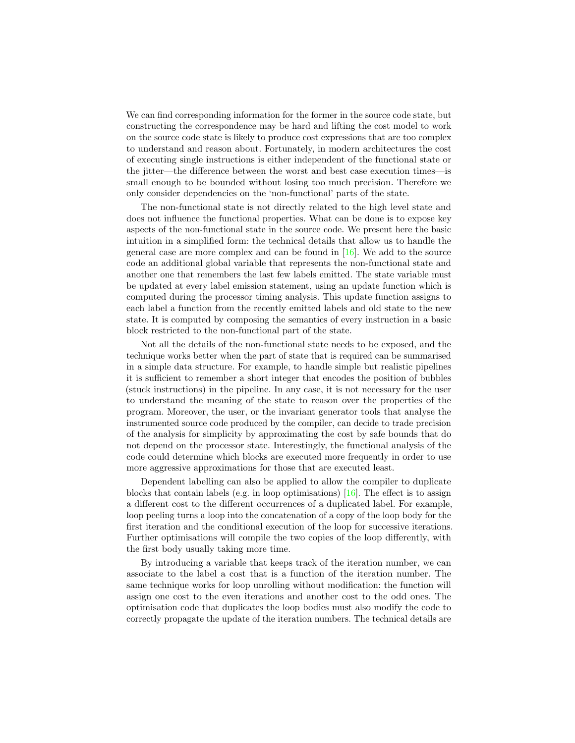We can find corresponding information for the former in the source code state, but constructing the correspondence may be hard and lifting the cost model to work on the source code state is likely to produce cost expressions that are too complex to understand and reason about. Fortunately, in modern architectures the cost of executing single instructions is either independent of the functional state or the jitter—the difference between the worst and best case execution times—is small enough to be bounded without losing too much precision. Therefore we only consider dependencies on the 'non-functional' parts of the state.

The non-functional state is not directly related to the high level state and does not influence the functional properties. What can be done is to expose key aspects of the non-functional state in the source code. We present here the basic intuition in a simplified form: the technical details that allow us to handle the general case are more complex and can be found in [\[16\]](#page-17-14). We add to the source code an additional global variable that represents the non-functional state and another one that remembers the last few labels emitted. The state variable must be updated at every label emission statement, using an update function which is computed during the processor timing analysis. This update function assigns to each label a function from the recently emitted labels and old state to the new state. It is computed by composing the semantics of every instruction in a basic block restricted to the non-functional part of the state.

Not all the details of the non-functional state needs to be exposed, and the technique works better when the part of state that is required can be summarised in a simple data structure. For example, to handle simple but realistic pipelines it is sufficient to remember a short integer that encodes the position of bubbles (stuck instructions) in the pipeline. In any case, it is not necessary for the user to understand the meaning of the state to reason over the properties of the program. Moreover, the user, or the invariant generator tools that analyse the instrumented source code produced by the compiler, can decide to trade precision of the analysis for simplicity by approximating the cost by safe bounds that do not depend on the processor state. Interestingly, the functional analysis of the code could determine which blocks are executed more frequently in order to use more aggressive approximations for those that are executed least.

Dependent labelling can also be applied to allow the compiler to duplicate blocks that contain labels (e.g. in loop optimisations)  $[16]$ . The effect is to assign a different cost to the different occurrences of a duplicated label. For example, loop peeling turns a loop into the concatenation of a copy of the loop body for the first iteration and the conditional execution of the loop for successive iterations. Further optimisations will compile the two copies of the loop differently, with the first body usually taking more time.

By introducing a variable that keeps track of the iteration number, we can associate to the label a cost that is a function of the iteration number. The same technique works for loop unrolling without modification: the function will assign one cost to the even iterations and another cost to the odd ones. The optimisation code that duplicates the loop bodies must also modify the code to correctly propagate the update of the iteration numbers. The technical details are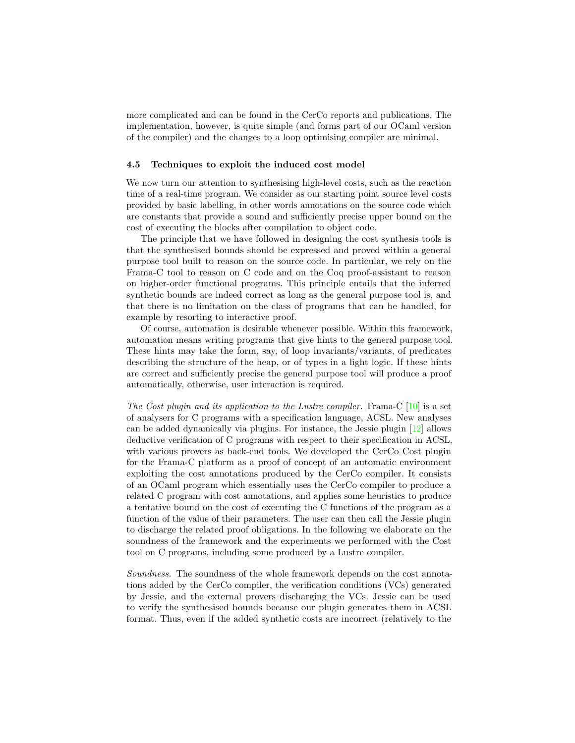more complicated and can be found in the CerCo reports and publications. The implementation, however, is quite simple (and forms part of our OCaml version of the compiler) and the changes to a loop optimising compiler are minimal.

#### <span id="page-14-0"></span>4.5 Techniques to exploit the induced cost model

We now turn our attention to synthesising high-level costs, such as the reaction time of a real-time program. We consider as our starting point source level costs provided by basic labelling, in other words annotations on the source code which are constants that provide a sound and sufficiently precise upper bound on the cost of executing the blocks after compilation to object code.

The principle that we have followed in designing the cost synthesis tools is that the synthesised bounds should be expressed and proved within a general purpose tool built to reason on the source code. In particular, we rely on the Frama-C tool to reason on C code and on the Coq proof-assistant to reason on higher-order functional programs. This principle entails that the inferred synthetic bounds are indeed correct as long as the general purpose tool is, and that there is no limitation on the class of programs that can be handled, for example by resorting to interactive proof.

Of course, automation is desirable whenever possible. Within this framework, automation means writing programs that give hints to the general purpose tool. These hints may take the form, say, of loop invariants/variants, of predicates describing the structure of the heap, or of types in a light logic. If these hints are correct and sufficiently precise the general purpose tool will produce a proof automatically, otherwise, user interaction is required.

The Cost plugin and its application to the Lustre compiler. Frama-C [\[10\]](#page-17-2) is a set of analysers for C programs with a specification language, ACSL. New analyses can be added dynamically via plugins. For instance, the Jessie plugin [\[12\]](#page-17-15) allows deductive verification of C programs with respect to their specification in ACSL, with various provers as back-end tools. We developed the CerCo Cost plugin for the Frama-C platform as a proof of concept of an automatic environment exploiting the cost annotations produced by the CerCo compiler. It consists of an OCaml program which essentially uses the CerCo compiler to produce a related C program with cost annotations, and applies some heuristics to produce a tentative bound on the cost of executing the C functions of the program as a function of the value of their parameters. The user can then call the Jessie plugin to discharge the related proof obligations. In the following we elaborate on the soundness of the framework and the experiments we performed with the Cost tool on C programs, including some produced by a Lustre compiler.

Soundness. The soundness of the whole framework depends on the cost annotations added by the CerCo compiler, the verification conditions (VCs) generated by Jessie, and the external provers discharging the VCs. Jessie can be used to verify the synthesised bounds because our plugin generates them in ACSL format. Thus, even if the added synthetic costs are incorrect (relatively to the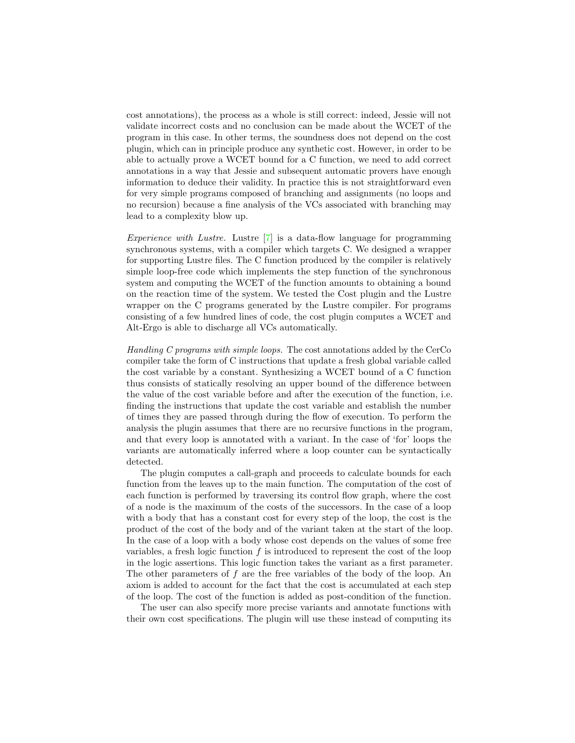cost annotations), the process as a whole is still correct: indeed, Jessie will not validate incorrect costs and no conclusion can be made about the WCET of the program in this case. In other terms, the soundness does not depend on the cost plugin, which can in principle produce any synthetic cost. However, in order to be able to actually prove a WCET bound for a C function, we need to add correct annotations in a way that Jessie and subsequent automatic provers have enough information to deduce their validity. In practice this is not straightforward even for very simple programs composed of branching and assignments (no loops and no recursion) because a fine analysis of the VCs associated with branching may lead to a complexity blow up.

Experience with Lustre. Lustre  $\begin{bmatrix} 7 \end{bmatrix}$  is a data-flow language for programming synchronous systems, with a compiler which targets C. We designed a wrapper for supporting Lustre files. The C function produced by the compiler is relatively simple loop-free code which implements the step function of the synchronous system and computing the WCET of the function amounts to obtaining a bound on the reaction time of the system. We tested the Cost plugin and the Lustre wrapper on the C programs generated by the Lustre compiler. For programs consisting of a few hundred lines of code, the cost plugin computes a WCET and Alt-Ergo is able to discharge all VCs automatically.

Handling C programs with simple loops. The cost annotations added by the CerCo compiler take the form of C instructions that update a fresh global variable called the cost variable by a constant. Synthesizing a WCET bound of a C function thus consists of statically resolving an upper bound of the difference between the value of the cost variable before and after the execution of the function, i.e. finding the instructions that update the cost variable and establish the number of times they are passed through during the flow of execution. To perform the analysis the plugin assumes that there are no recursive functions in the program, and that every loop is annotated with a variant. In the case of 'for' loops the variants are automatically inferred where a loop counter can be syntactically detected.

The plugin computes a call-graph and proceeds to calculate bounds for each function from the leaves up to the main function. The computation of the cost of each function is performed by traversing its control flow graph, where the cost of a node is the maximum of the costs of the successors. In the case of a loop with a body that has a constant cost for every step of the loop, the cost is the product of the cost of the body and of the variant taken at the start of the loop. In the case of a loop with a body whose cost depends on the values of some free variables, a fresh logic function  $f$  is introduced to represent the cost of the loop in the logic assertions. This logic function takes the variant as a first parameter. The other parameters of f are the free variables of the body of the loop. An axiom is added to account for the fact that the cost is accumulated at each step of the loop. The cost of the function is added as post-condition of the function.

The user can also specify more precise variants and annotate functions with their own cost specifications. The plugin will use these instead of computing its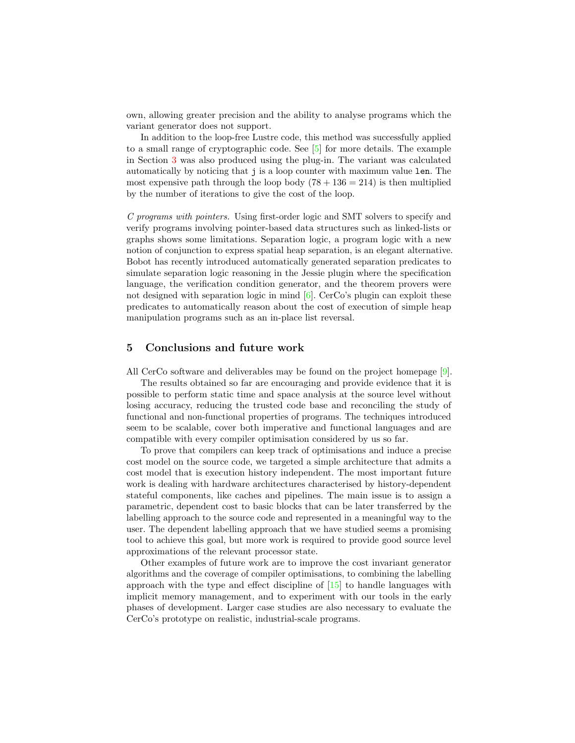own, allowing greater precision and the ability to analyse programs which the variant generator does not support.

In addition to the loop-free Lustre code, this method was successfully applied to a small range of cryptographic code. See [\[5\]](#page-17-1) for more details. The example in Section [3](#page-6-1) was also produced using the plug-in. The variant was calculated automatically by noticing that j is a loop counter with maximum value len. The most expensive path through the loop body  $(78 + 136 = 214)$  is then multiplied by the number of iterations to give the cost of the loop.

C programs with pointers. Using first-order logic and SMT solvers to specify and verify programs involving pointer-based data structures such as linked-lists or graphs shows some limitations. Separation logic, a program logic with a new notion of conjunction to express spatial heap separation, is an elegant alternative. Bobot has recently introduced automatically generated separation predicates to simulate separation logic reasoning in the Jessie plugin where the specification language, the verification condition generator, and the theorem provers were not designed with separation logic in mind [\[6\]](#page-17-16). CerCo's plugin can exploit these predicates to automatically reason about the cost of execution of simple heap manipulation programs such as an in-place list reversal.

# 5 Conclusions and future work

All CerCo software and deliverables may be found on the project homepage [\[9\]](#page-17-13).

The results obtained so far are encouraging and provide evidence that it is possible to perform static time and space analysis at the source level without losing accuracy, reducing the trusted code base and reconciling the study of functional and non-functional properties of programs. The techniques introduced seem to be scalable, cover both imperative and functional languages and are compatible with every compiler optimisation considered by us so far.

To prove that compilers can keep track of optimisations and induce a precise cost model on the source code, we targeted a simple architecture that admits a cost model that is execution history independent. The most important future work is dealing with hardware architectures characterised by history-dependent stateful components, like caches and pipelines. The main issue is to assign a parametric, dependent cost to basic blocks that can be later transferred by the labelling approach to the source code and represented in a meaningful way to the user. The dependent labelling approach that we have studied seems a promising tool to achieve this goal, but more work is required to provide good source level approximations of the relevant processor state.

Other examples of future work are to improve the cost invariant generator algorithms and the coverage of compiler optimisations, to combining the labelling approach with the type and effect discipline of [\[15\]](#page-17-17) to handle languages with implicit memory management, and to experiment with our tools in the early phases of development. Larger case studies are also necessary to evaluate the CerCo's prototype on realistic, industrial-scale programs.